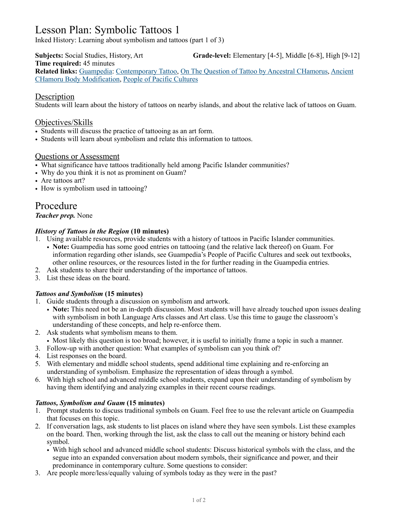# Lesson Plan: Symbolic Tattoos 1

Inked History: Learning about symbolism and tattoos (part 1 of 3)

**Subjects:** Social Studies, History, Art **Grade-level:** Elementary [4-5], Middle [6-8], High [9-12] **Time required:** 45 minutes **Related links:** [Guampedia:](https://www.guampedia.com/) [Contemporary Tattoo](https://www.guampedia.com/contemporary-tattoo/), [On The Question of Tattoo by Ancestral CHamorus](https://www.guampedia.com/on-the-question-of-tattoo-by-ancestral-chamorros-2/), [Ancient](https://www.guampedia.com/body-modification-in-ancient-guam/)  [CHamoru Body Modification](https://www.guampedia.com/body-modification-in-ancient-guam/), [People of Pacific Cultures](https://www.guampedia.com/people-of-pacific-cultures/)

### **Description**

Students will learn about the history of tattoos on nearby islands, and about the relative lack of tattoos on Guam.

## Objectives/Skills

- Students will discuss the practice of tattooing as an art form.
- Students will learn about symbolism and relate this information to tattoos.

#### Questions or Assessment

- What significance have tattoos traditionally held among Pacific Islander communities?
- Why do you think it is not as prominent on Guam?
- Are tattoos art?
- How is symbolism used in tattooing?

# Procedure

#### *Teacher prep.* None

#### *History of Tattoos in the Region* **(10 minutes)**

- 1. Using available resources, provide students with a history of tattoos in Pacific Islander communities.
	- **Note:** Guampedia has some good entries on tattooing (and the relative lack thereof) on Guam. For information regarding other islands, see Guampedia's People of Pacific Cultures and seek out textbooks, other online resources, or the resources listed in the for further reading in the Guampedia entries.
- 2. Ask students to share their understanding of the importance of tattoos.
- 3. List these ideas on the board.

#### *Tattoos and Symbolism* **(15 minutes)**

- 1. Guide students through a discussion on symbolism and artwork.
	- **Note:** This need not be an in-depth discussion. Most students will have already touched upon issues dealing with symbolism in both Language Arts classes and Art class. Use this time to gauge the classroom's understanding of these concepts, and help re-enforce them.
- 2. Ask students what symbolism means to them.
- Most likely this question is too broad; however, it is useful to initially frame a topic in such a manner.
- 3. Follow-up with another question: What examples of symbolism can you think of?
- 4. List responses on the board.
- 5. With elementary and middle school students, spend additional time explaining and re-enforcing an understanding of symbolism. Emphasize the representation of ideas through a symbol.
- 6. With high school and advanced middle school students, expand upon their understanding of symbolism by having them identifying and analyzing examples in their recent course readings.

#### *Tattoos, Symbolism and Guam* **(15 minutes)**

- 1. Prompt students to discuss traditional symbols on Guam. Feel free to use the relevant article on Guampedia that focuses on this topic.
- 2. If conversation lags, ask students to list places on island where they have seen symbols. List these examples on the board. Then, working through the list, ask the class to call out the meaning or history behind each symbol.
	- With high school and advanced middle school students: Discuss historical symbols with the class, and the segue into an expanded conversation about modern symbols, their significance and power, and their predominance in contemporary culture. Some questions to consider:
- 3. Are people more/less/equally valuing of symbols today as they were in the past?